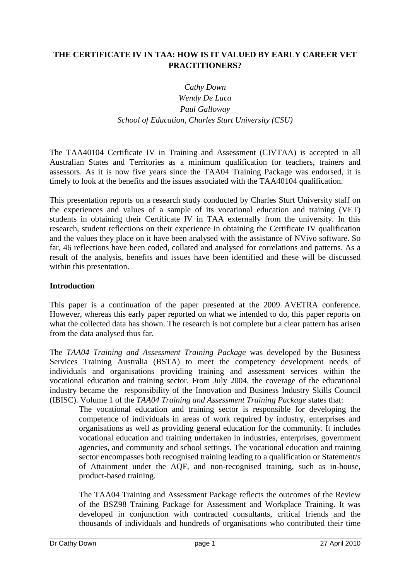# **THE CERTIFICATE IV IN TAA: HOW IS IT VALUED BY EARLY CAREER VET PRACTITIONERS?**

# *Cathy Down Wendy De Luca Paul Galloway School of Education, Charles Sturt University (CSU)*

The TAA40104 Certificate IV in Training and Assessment (CIVTAA) is accepted in all Australian States and Territories as a minimum qualification for teachers, trainers and assessors. As it is now five years since the TAA04 Training Package was endorsed, it is timely to look at the benefits and the issues associated with the TAA40104 qualification.

This presentation reports on a research study conducted by Charles Sturt University staff on the experiences and values of a sample of its vocational education and training (VET) students in obtaining their Certificate IV in TAA externally from the university. In this research, student reflections on their experience in obtaining the Certificate IV qualification and the values they place on it have been analysed with the assistance of NVivo software. So far, 46 reflections have been coded, collated and analysed for correlations and patterns. As a result of the analysis, benefits and issues have been identified and these will be discussed within this presentation.

## **Introduction**

This paper is a continuation of the paper presented at the 2009 AVETRA conference. However, whereas this early paper reported on what we intended to do, this paper reports on what the collected data has shown. The research is not complete but a clear pattern has arisen from the data analysed thus far.

The *TAA04 Training and Assessment Training Package* was developed by the Business Services Training Australia (BSTA) to meet the competency development needs of individuals and organisations providing training and assessment services within the vocational education and training sector. From July 2004, the coverage of the educational industry became the responsibility of the Innovation and Business Industry Skills Council (IBISC). Volume 1 of the *TAA04 Training and Assessment Training Package* states that:

The vocational education and training sector is responsible for developing the competence of individuals in areas of work required by industry, enterprises and organisations as well as providing general education for the community. It includes vocational education and training undertaken in industries, enterprises, government agencies, and community and school settings. The vocational education and training sector encompasses both recognised training leading to a qualification or Statement/s of Attainment under the AQF, and non-recognised training, such as in-house, product-based training.

The TAA04 Training and Assessment Package reflects the outcomes of the Review of the BSZ98 Training Package for Assessment and Workplace Training. It was developed in conjunction with contracted consultants, critical friends and the thousands of individuals and hundreds of organisations who contributed their time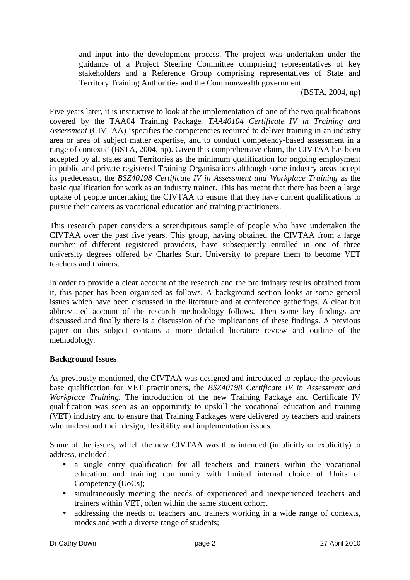and input into the development process. The project was undertaken under the guidance of a Project Steering Committee comprising representatives of key stakeholders and a Reference Group comprising representatives of State and Territory Training Authorities and the Commonwealth government.

(BSTA, 2004, np)

Five years later, it is instructive to look at the implementation of one of the two qualifications covered by the TAA04 Training Package*. TAA40104 Certificate IV in Training and Assessment* (CIVTAA) 'specifies the competencies required to deliver training in an industry area or area of subject matter expertise, and to conduct competency-based assessment in a range of contexts' (BSTA, 2004, np). Given this comprehensive claim, the CIVTAA has been accepted by all states and Territories as the minimum qualification for ongoing employment in public and private registered Training Organisations although some industry areas accept its predecessor, the *BSZ40198 Certificate IV in Assessment and Workplace Training* as the basic qualification for work as an industry trainer. This has meant that there has been a large uptake of people undertaking the CIVTAA to ensure that they have current qualifications to pursue their careers as vocational education and training practitioners.

This research paper considers a serendipitous sample of people who have undertaken the CIVTAA over the past five years. This group, having obtained the CIVTAA from a large number of different registered providers, have subsequently enrolled in one of three university degrees offered by Charles Sturt University to prepare them to become VET teachers and trainers.

In order to provide a clear account of the research and the preliminary results obtained from it, this paper has been organised as follows. A background section looks at some general issues which have been discussed in the literature and at conference gatherings. A clear but abbreviated account of the research methodology follows. Then some key findings are discussed and finally there is a discussion of the implications of these findings. A previous paper on this subject contains a more detailed literature review and outline of the methodology.

## **Background Issues**

As previously mentioned, the CIVTAA was designed and introduced to replace the previous base qualification for VET practitioners, the *BSZ40198 Certificate IV in Assessment and Workplace Training.* The introduction of the new Training Package and Certificate IV qualification was seen as an opportunity to upskill the vocational education and training (VET) industry and to ensure that Training Packages were delivered by teachers and trainers who understood their design, flexibility and implementation issues.

Some of the issues, which the new CIVTAA was thus intended (implicitly or explicitly) to address, included:

- a single entry qualification for all teachers and trainers within the vocational education and training community with limited internal choice of Units of Competency (UoCs);
- simultaneously meeting the needs of experienced and inexperienced teachers and trainers within VET, often within the same student cohor;t
- addressing the needs of teachers and trainers working in a wide range of contexts, modes and with a diverse range of students;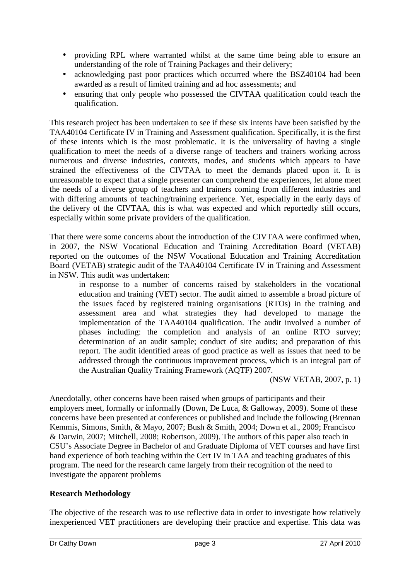- providing RPL where warranted whilst at the same time being able to ensure an understanding of the role of Training Packages and their delivery;
- acknowledging past poor practices which occurred where the BSZ40104 had been awarded as a result of limited training and ad hoc assessments; and
- ensuring that only people who possessed the CIVTAA qualification could teach the qualification.

This research project has been undertaken to see if these six intents have been satisfied by the TAA40104 Certificate IV in Training and Assessment qualification. Specifically, it is the first of these intents which is the most problematic. It is the universality of having a single qualification to meet the needs of a diverse range of teachers and trainers working across numerous and diverse industries, contexts, modes, and students which appears to have strained the effectiveness of the CIVTAA to meet the demands placed upon it. It is unreasonable to expect that a single presenter can comprehend the experiences, let alone meet the needs of a diverse group of teachers and trainers coming from different industries and with differing amounts of teaching/training experience. Yet, especially in the early days of the delivery of the CIVTAA, this is what was expected and which reportedly still occurs, especially within some private providers of the qualification.

That there were some concerns about the introduction of the CIVTAA were confirmed when, in 2007, the NSW Vocational Education and Training Accreditation Board (VETAB) reported on the outcomes of the NSW Vocational Education and Training Accreditation Board (VETAB) strategic audit of the TAA40104 Certificate IV in Training and Assessment in NSW. This audit was undertaken:

in response to a number of concerns raised by stakeholders in the vocational education and training (VET) sector. The audit aimed to assemble a broad picture of the issues faced by registered training organisations (RTOs) in the training and assessment area and what strategies they had developed to manage the implementation of the TAA40104 qualification. The audit involved a number of phases including: the completion and analysis of an online RTO survey; determination of an audit sample; conduct of site audits; and preparation of this report. The audit identified areas of good practice as well as issues that need to be addressed through the continuous improvement process, which is an integral part of the Australian Quality Training Framework (AQTF) 2007.

(NSW VETAB, 2007, p. 1)

Anecdotally, other concerns have been raised when groups of participants and their employers meet, formally or informally (Down, De Luca, & Galloway, 2009). Some of these concerns have been presented at conferences or published and include the following (Brennan Kemmis, Simons, Smith, & Mayo, 2007; Bush & Smith, 2004; Down et al., 2009; Francisco & Darwin, 2007; Mitchell, 2008; Robertson, 2009). The authors of this paper also teach in CSU's Associate Degree in Bachelor of and Graduate Diploma of VET courses and have first hand experience of both teaching within the Cert IV in TAA and teaching graduates of this program. The need for the research came largely from their recognition of the need to investigate the apparent problems

# **Research Methodology**

The objective of the research was to use reflective data in order to investigate how relatively inexperienced VET practitioners are developing their practice and expertise. This data was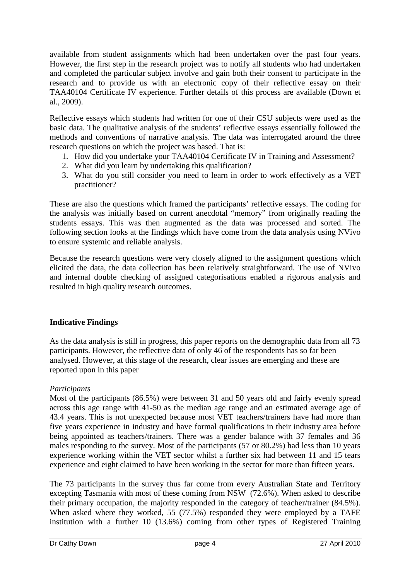available from student assignments which had been undertaken over the past four years. However, the first step in the research project was to notify all students who had undertaken and completed the particular subject involve and gain both their consent to participate in the research and to provide us with an electronic copy of their reflective essay on their TAA40104 Certificate IV experience. Further details of this process are available (Down et al., 2009).

Reflective essays which students had written for one of their CSU subjects were used as the basic data. The qualitative analysis of the students' reflective essays essentially followed the methods and conventions of narrative analysis. The data was interrogated around the three research questions on which the project was based. That is:

- 1. How did you undertake your TAA40104 Certificate IV in Training and Assessment?
- 2. What did you learn by undertaking this qualification?
- 3. What do you still consider you need to learn in order to work effectively as a VET practitioner?

These are also the questions which framed the participants' reflective essays. The coding for the analysis was initially based on current anecdotal "memory" from originally reading the students essays. This was then augmented as the data was processed and sorted. The following section looks at the findings which have come from the data analysis using NVivo to ensure systemic and reliable analysis.

Because the research questions were very closely aligned to the assignment questions which elicited the data, the data collection has been relatively straightforward. The use of NVivo and internal double checking of assigned categorisations enabled a rigorous analysis and resulted in high quality research outcomes.

# **Indicative Findings**

As the data analysis is still in progress, this paper reports on the demographic data from all 73 participants. However, the reflective data of only 46 of the respondents has so far been analysed. However, at this stage of the research, clear issues are emerging and these are reported upon in this paper

# *Participants*

Most of the participants (86.5%) were between 31 and 50 years old and fairly evenly spread across this age range with 41-50 as the median age range and an estimated average age of 43.4 years. This is not unexpected because most VET teachers/trainers have had more than five years experience in industry and have formal qualifications in their industry area before being appointed as teachers/trainers. There was a gender balance with 37 females and 36 males responding to the survey. Most of the participants (57 or 80.2%) had less than 10 years experience working within the VET sector whilst a further six had between 11 and 15 tears experience and eight claimed to have been working in the sector for more than fifteen years.

The 73 participants in the survey thus far come from every Australian State and Territory excepting Tasmania with most of these coming from NSW (72.6%). When asked to describe their primary occupation, the majority responded in the category of teacher/trainer (84.5%). When asked where they worked, 55 (77.5%) responded they were employed by a TAFE institution with a further 10 (13.6%) coming from other types of Registered Training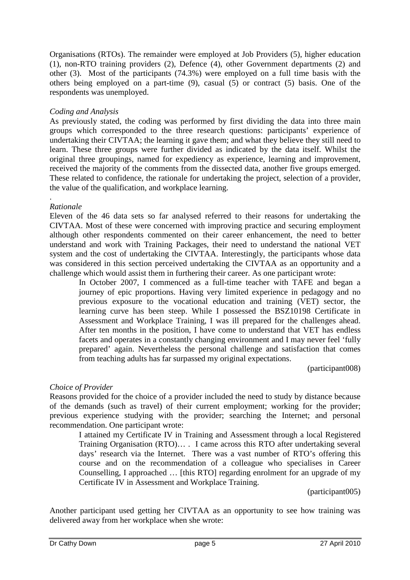Organisations (RTOs). The remainder were employed at Job Providers (5), higher education (1), non-RTO training providers (2), Defence (4), other Government departments (2) and other (3). Most of the participants (74.3%) were employed on a full time basis with the others being employed on a part-time (9), casual (5) or contract (5) basis. One of the respondents was unemployed.

## *Coding and Analysis*

As previously stated, the coding was performed by first dividing the data into three main groups which corresponded to the three research questions: participants' experience of undertaking their CIVTAA; the learning it gave them; and what they believe they still need to learn. These three groups were further divided as indicated by the data itself. Whilst the original three groupings, named for expediency as experience, learning and improvement, received the majority of the comments from the dissected data, another five groups emerged. These related to confidence, the rationale for undertaking the project, selection of a provider, the value of the qualification, and workplace learning.

#### . *Rationale*

Eleven of the 46 data sets so far analysed referred to their reasons for undertaking the CIVTAA. Most of these were concerned with improving practice and securing employment although other respondents commented on their career enhancement, the need to better understand and work with Training Packages, their need to understand the national VET system and the cost of undertaking the CIVTAA. Interestingly, the participants whose data was considered in this section perceived undertaking the CIVTAA as an opportunity and a challenge which would assist them in furthering their career. As one participant wrote:

In October 2007, I commenced as a full-time teacher with TAFE and began a journey of epic proportions. Having very limited experience in pedagogy and no previous exposure to the vocational education and training (VET) sector, the learning curve has been steep. While I possessed the BSZ10198 Certificate in Assessment and Workplace Training, I was ill prepared for the challenges ahead. After ten months in the position, I have come to understand that VET has endless facets and operates in a constantly changing environment and I may never feel 'fully prepared' again. Nevertheless the personal challenge and satisfaction that comes from teaching adults has far surpassed my original expectations.

(participant008)

## *Choice of Provider*

Reasons provided for the choice of a provider included the need to study by distance because of the demands (such as travel) of their current employment; working for the provider; previous experience studying with the provider; searching the Internet; and personal recommendation. One participant wrote:

I attained my Certificate IV in Training and Assessment through a local Registered Training Organisation (RTO)… . I came across this RTO after undertaking several days' research via the Internet. There was a vast number of RTO's offering this course and on the recommendation of a colleague who specialises in Career Counselling, I approached … [this RTO] regarding enrolment for an upgrade of my Certificate IV in Assessment and Workplace Training.

(participant005)

Another participant used getting her CIVTAA as an opportunity to see how training was delivered away from her workplace when she wrote: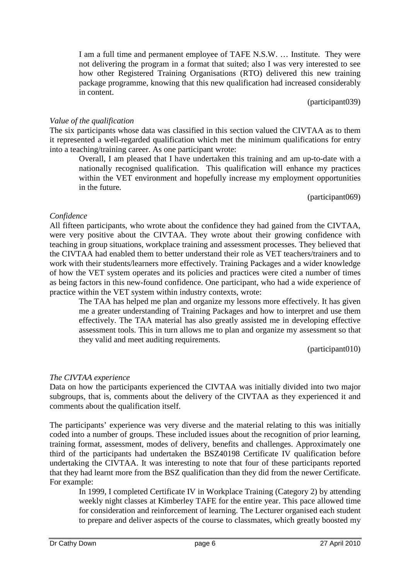I am a full time and permanent employee of TAFE N.S.W. … Institute. They were not delivering the program in a format that suited; also I was very interested to see how other Registered Training Organisations (RTO) delivered this new training package programme, knowing that this new qualification had increased considerably in content.

(participant039)

#### *Value of the qualification*

The six participants whose data was classified in this section valued the CIVTAA as to them it represented a well-regarded qualification which met the minimum qualifications for entry into a teaching/training career. As one participant wrote:

Overall, I am pleased that I have undertaken this training and am up-to-date with a nationally recognised qualification. This qualification will enhance my practices within the VET environment and hopefully increase my employment opportunities in the future.

(participant069)

#### *Confidence*

All fifteen participants, who wrote about the confidence they had gained from the CIVTAA, were very positive about the CIVTAA. They wrote about their growing confidence with teaching in group situations, workplace training and assessment processes. They believed that the CIVTAA had enabled them to better understand their role as VET teachers/trainers and to work with their students/learners more effectively. Training Packages and a wider knowledge of how the VET system operates and its policies and practices were cited a number of times as being factors in this new-found confidence. One participant, who had a wide experience of practice within the VET system within industry contexts, wrote:

The TAA has helped me plan and organize my lessons more effectively. It has given me a greater understanding of Training Packages and how to interpret and use them effectively. The TAA material has also greatly assisted me in developing effective assessment tools. This in turn allows me to plan and organize my assessment so that they valid and meet auditing requirements.

(participant010)

## *The CIVTAA experience*

Data on how the participants experienced the CIVTAA was initially divided into two major subgroups, that is, comments about the delivery of the CIVTAA as they experienced it and comments about the qualification itself.

The participants' experience was very diverse and the material relating to this was initially coded into a number of groups. These included issues about the recognition of prior learning, training format, assessment, modes of delivery, benefits and challenges. Approximately one third of the participants had undertaken the BSZ40198 Certificate IV qualification before undertaking the CIVTAA. It was interesting to note that four of these participants reported that they had learnt more from the BSZ qualification than they did from the newer Certificate. For example:

In 1999, I completed Certificate IV in Workplace Training (Category 2) by attending weekly night classes at Kimberley TAFE for the entire year. This pace allowed time for consideration and reinforcement of learning. The Lecturer organised each student to prepare and deliver aspects of the course to classmates, which greatly boosted my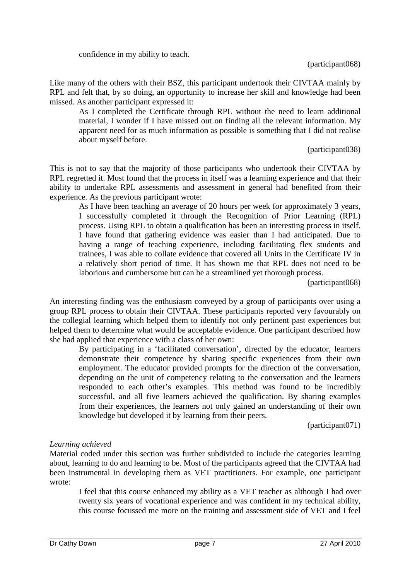confidence in my ability to teach.

Like many of the others with their BSZ, this participant undertook their CIVTAA mainly by RPL and felt that, by so doing, an opportunity to increase her skill and knowledge had been missed. As another participant expressed it:

As I completed the Certificate through RPL without the need to learn additional material, I wonder if I have missed out on finding all the relevant information. My apparent need for as much information as possible is something that I did not realise about myself before.

(participant038)

This is not to say that the majority of those participants who undertook their CIVTAA by RPL regretted it. Most found that the process in itself was a learning experience and that their ability to undertake RPL assessments and assessment in general had benefited from their experience. As the previous participant wrote:

As I have been teaching an average of 20 hours per week for approximately 3 years, I successfully completed it through the Recognition of Prior Learning (RPL) process. Using RPL to obtain a qualification has been an interesting process in itself. I have found that gathering evidence was easier than I had anticipated. Due to having a range of teaching experience, including facilitating flex students and trainees, I was able to collate evidence that covered all Units in the Certificate IV in a relatively short period of time. It has shown me that RPL does not need to be laborious and cumbersome but can be a streamlined yet thorough process.

(participant068)

An interesting finding was the enthusiasm conveyed by a group of participants over using a group RPL process to obtain their CIVTAA. These participants reported very favourably on the collegial learning which helped them to identify not only pertinent past experiences but helped them to determine what would be acceptable evidence. One participant described how she had applied that experience with a class of her own:

By participating in a 'facilitated conversation', directed by the educator, learners demonstrate their competence by sharing specific experiences from their own employment. The educator provided prompts for the direction of the conversation, depending on the unit of competency relating to the conversation and the learners responded to each other's examples. This method was found to be incredibly successful, and all five learners achieved the qualification. By sharing examples from their experiences, the learners not only gained an understanding of their own knowledge but developed it by learning from their peers.

(participant071)

## *Learning achieved*

Material coded under this section was further subdivided to include the categories learning about, learning to do and learning to be. Most of the participants agreed that the CIVTAA had been instrumental in developing them as VET practitioners. For example, one participant wrote:

I feel that this course enhanced my ability as a VET teacher as although I had over twenty six years of vocational experience and was confident in my technical ability, this course focussed me more on the training and assessment side of VET and I feel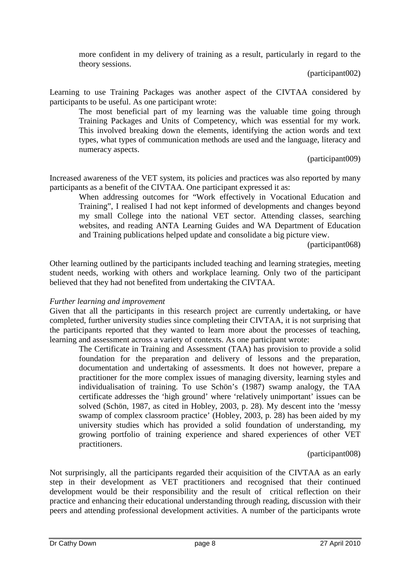more confident in my delivery of training as a result, particularly in regard to the theory sessions.

(participant002)

Learning to use Training Packages was another aspect of the CIVTAA considered by participants to be useful. As one participant wrote:

The most beneficial part of my learning was the valuable time going through Training Packages and Units of Competency, which was essential for my work. This involved breaking down the elements, identifying the action words and text types, what types of communication methods are used and the language, literacy and numeracy aspects.

(participant009)

Increased awareness of the VET system, its policies and practices was also reported by many participants as a benefit of the CIVTAA. One participant expressed it as:

When addressing outcomes for "Work effectively in Vocational Education and Training", I realised I had not kept informed of developments and changes beyond my small College into the national VET sector. Attending classes, searching websites, and reading ANTA Learning Guides and WA Department of Education and Training publications helped update and consolidate a big picture view.

(participant068)

Other learning outlined by the participants included teaching and learning strategies, meeting student needs, working with others and workplace learning. Only two of the participant believed that they had not benefited from undertaking the CIVTAA.

## *Further learning and improvement*

Given that all the participants in this research project are currently undertaking, or have completed, further university studies since completing their CIVTAA, it is not surprising that the participants reported that they wanted to learn more about the processes of teaching, learning and assessment across a variety of contexts. As one participant wrote:

The Certificate in Training and Assessment (TAA) has provision to provide a solid foundation for the preparation and delivery of lessons and the preparation, documentation and undertaking of assessments. It does not however, prepare a practitioner for the more complex issues of managing diversity, learning styles and individualisation of training. To use Schön's (1987) swamp analogy, the TAA certificate addresses the 'high ground' where 'relatively unimportant' issues can be solved (Schön, 1987, as cited in Hobley, 2003, p. 28). My descent into the 'messy swamp of complex classroom practice' (Hobley, 2003, p. 28) has been aided by my university studies which has provided a solid foundation of understanding, my growing portfolio of training experience and shared experiences of other VET practitioners.

(participant008)

Not surprisingly, all the participants regarded their acquisition of the CIVTAA as an early step in their development as VET practitioners and recognised that their continued development would be their responsibility and the result of critical reflection on their practice and enhancing their educational understanding through reading, discussion with their peers and attending professional development activities. A number of the participants wrote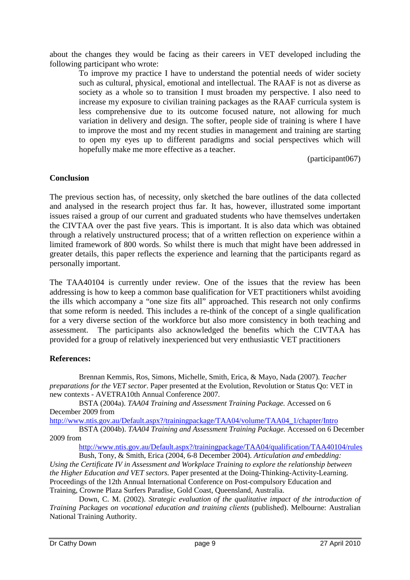about the changes they would be facing as their careers in VET developed including the following participant who wrote:

To improve my practice I have to understand the potential needs of wider society such as cultural, physical, emotional and intellectual. The RAAF is not as diverse as society as a whole so to transition I must broaden my perspective. I also need to increase my exposure to civilian training packages as the RAAF curricula system is less comprehensive due to its outcome focused nature, not allowing for much variation in delivery and design. The softer, people side of training is where I have to improve the most and my recent studies in management and training are starting to open my eyes up to different paradigms and social perspectives which will hopefully make me more effective as a teacher.

(participant067)

#### **Conclusion**

The previous section has, of necessity, only sketched the bare outlines of the data collected and analysed in the research project thus far. It has, however, illustrated some important issues raised a group of our current and graduated students who have themselves undertaken the CIVTAA over the past five years. This is important. It is also data which was obtained through a relatively unstructured process; that of a written reflection on experience within a limited framework of 800 words. So whilst there is much that might have been addressed in greater details, this paper reflects the experience and learning that the participants regard as personally important.

The TAA40104 is currently under review. One of the issues that the review has been addressing is how to keep a common base qualification for VET practitioners whilst avoiding the ills which accompany a "one size fits all" approached. This research not only confirms that some reform is needed. This includes a re-think of the concept of a single qualification for a very diverse section of the workforce but also more consistency in both teaching and assessment. The participants also acknowledged the benefits which the CIVTAA has provided for a group of relatively inexperienced but very enthusiastic VET practitioners

## **References:**

Brennan Kemmis, Ros, Simons, Michelle, Smith, Erica, & Mayo, Nada (2007). *Teacher preparations for the VET sector*. Paper presented at the Evolution, Revolution or Status Qo: VET in new contexts - AVETRA10th Annual Conference 2007.

BSTA (2004a). *TAA04 Training and Assessment Training Package.* Accessed on 6 December 2009 from

http://www.ntis.gov.au/Default.aspx?/trainingpackage/TAA04/volume/TAA04\_1/chapter/Intro

BSTA (2004b). *TAA04 Training and Assessment Training Package.* Accessed on 6 December 2009 from

http://www.ntis.gov.au/Default.aspx?/trainingpackage/TAA04/qualification/TAA40104/rules

Bush, Tony, & Smith, Erica (2004, 6-8 December 2004). *Articulation and embedding: Using the Certificate IV in Assessment and Workplace Training to explore the relationship between the Higher Education and VET sectors.* Paper presented at the Doing-Thinking-Activity-Learning. Proceedings of the 12th Annual International Conference on Post-compulsory Education and Training, Crowne Plaza Surfers Paradise, Gold Coast, Queensland, Australia.

Down, C. M. (2002). *Strategic evaluation of the qualitative impact of the introduction of Training Packages on vocational education and training clients* (published). Melbourne: Australian National Training Authority.